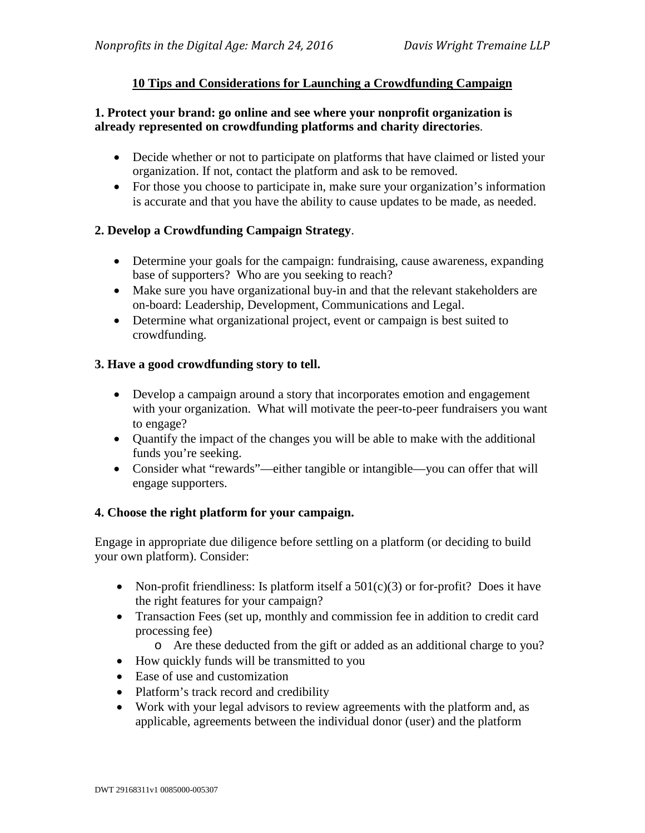# **10 Tips and Considerations for Launching a Crowdfunding Campaign**

## **1. Protect your brand: go online and see where your nonprofit organization is already represented on crowdfunding platforms and charity directories**.

- Decide whether or not to participate on platforms that have claimed or listed your organization. If not, contact the platform and ask to be removed.
- For those you choose to participate in, make sure your organization's information is accurate and that you have the ability to cause updates to be made, as needed.

# **2. Develop a Crowdfunding Campaign Strategy**.

- Determine your goals for the campaign: fundraising, cause awareness, expanding base of supporters? Who are you seeking to reach?
- Make sure you have organizational buy-in and that the relevant stakeholders are on-board: Leadership, Development, Communications and Legal.
- Determine what organizational project, event or campaign is best suited to crowdfunding.

## **3. Have a good crowdfunding story to tell.**

- Develop a campaign around a story that incorporates emotion and engagement with your organization. What will motivate the peer-to-peer fundraisers you want to engage?
- Quantify the impact of the changes you will be able to make with the additional funds you're seeking.
- Consider what "rewards"—either tangible or intangible—you can offer that will engage supporters.

#### **4. Choose the right platform for your campaign.**

Engage in appropriate due diligence before settling on a platform (or deciding to build your own platform). Consider:

- Non-profit friendliness: Is platform itself a  $501(c)(3)$  or for-profit? Does it have the right features for your campaign?
- Transaction Fees (set up, monthly and commission fee in addition to credit card processing fee)
	- o Are these deducted from the gift or added as an additional charge to you?
- How quickly funds will be transmitted to you
- Ease of use and customization
- Platform's track record and credibility
- Work with your legal advisors to review agreements with the platform and, as applicable, agreements between the individual donor (user) and the platform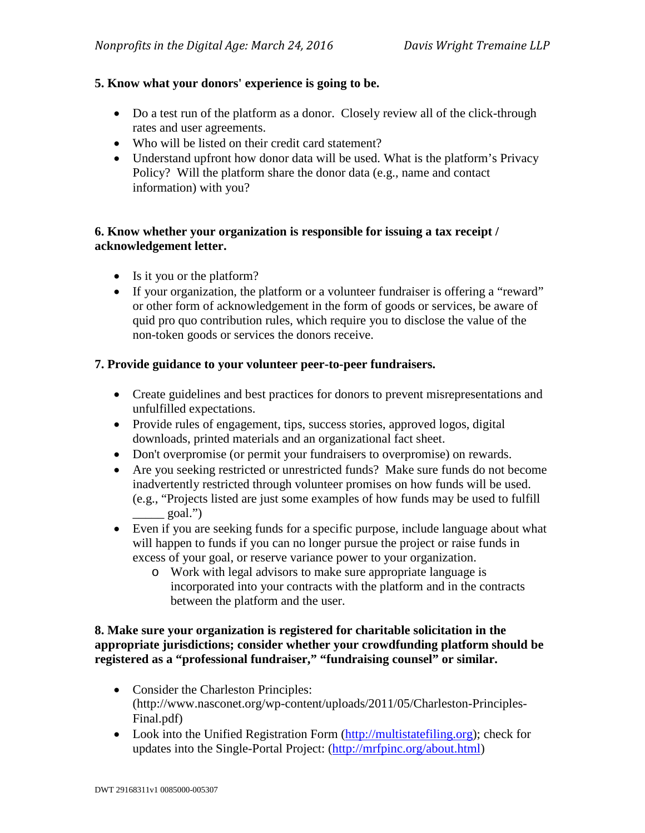# **5. Know what your donors' experience is going to be.**

- Do a test run of the platform as a donor. Closely review all of the click-through rates and user agreements.
- Who will be listed on their credit card statement?
- Understand upfront how donor data will be used. What is the platform's Privacy Policy? Will the platform share the donor data (e.g., name and contact information) with you?

### **6. Know whether your organization is responsible for issuing a tax receipt / acknowledgement letter.**

- Is it you or the platform?
- If your organization, the platform or a volunteer fundraiser is offering a "reward" or other form of acknowledgement in the form of goods or services, be aware of quid pro quo contribution rules, which require you to disclose the value of the non-token goods or services the donors receive.

## **7. Provide guidance to your volunteer peer-to-peer fundraisers.**

- Create guidelines and best practices for donors to prevent misrepresentations and unfulfilled expectations.
- Provide rules of engagement, tips, success stories, approved logos, digital downloads, printed materials and an organizational fact sheet.
- Don't overpromise (or permit your fundraisers to overpromise) on rewards.
- Are you seeking restricted or unrestricted funds? Make sure funds do not become inadvertently restricted through volunteer promises on how funds will be used. (e.g., "Projects listed are just some examples of how funds may be used to fulfill  $\equiv$  goal.")
- Even if you are seeking funds for a specific purpose, include language about what will happen to funds if you can no longer pursue the project or raise funds in excess of your goal, or reserve variance power to your organization.
	- o Work with legal advisors to make sure appropriate language is incorporated into your contracts with the platform and in the contracts between the platform and the user.

## **8. Make sure your organization is registered for charitable solicitation in the appropriate jurisdictions; consider whether your crowdfunding platform should be registered as a "professional fundraiser," "fundraising counsel" or similar.**

- Consider the Charleston Principles: (http://www.nasconet.org/wp-content/uploads/2011/05/Charleston-Principles-Final.pdf)
- Look into the Unified Registration Form [\(http://multistatefiling.org\)](http://multistatefiling.org/); check for updates into the Single-Portal Project: [\(http://mrfpinc.org/about.html\)](http://mrfpinc.org/about.html)